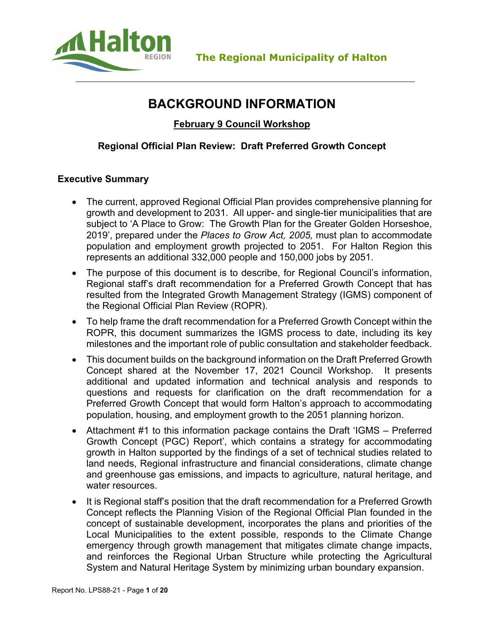

# **BACKGROUND INFORMATION**

**February 9 Council Workshop**

# **Regional Official Plan Review: Draft Preferred Growth Concept**

## **Executive Summary**

- The current, approved Regional Official Plan provides comprehensive planning for growth and development to 2031. All upper- and single-tier municipalities that are subject to 'A Place to Grow: The Growth Plan for the Greater Golden Horseshoe, 2019', prepared under the *Places to Grow Act, 2005,* must plan to accommodate population and employment growth projected to 2051. For Halton Region this represents an additional 332,000 people and 150,000 jobs by 2051.
- The purpose of this document is to describe, for Regional Council's information, Regional staff's draft recommendation for a Preferred Growth Concept that has resulted from the Integrated Growth Management Strategy (IGMS) component of the Regional Official Plan Review (ROPR).
- To help frame the draft recommendation for a Preferred Growth Concept within the ROPR, this document summarizes the IGMS process to date, including its key milestones and the important role of public consultation and stakeholder feedback.
- This document builds on the background information on the Draft Preferred Growth Concept shared at the November 17, 2021 Council Workshop. It presents additional and updated information and technical analysis and responds to questions and requests for clarification on the draft recommendation for a Preferred Growth Concept that would form Halton's approach to accommodating population, housing, and employment growth to the 2051 planning horizon.
- Attachment #1 to this information package contains the Draft 'IGMS Preferred Growth Concept (PGC) Report', which contains a strategy for accommodating growth in Halton supported by the findings of a set of technical studies related to land needs, Regional infrastructure and financial considerations, climate change and greenhouse gas emissions, and impacts to agriculture, natural heritage, and water resources.
- It is Regional staff's position that the draft recommendation for a Preferred Growth Concept reflects the Planning Vision of the Regional Official Plan founded in the concept of sustainable development, incorporates the plans and priorities of the Local Municipalities to the extent possible, responds to the Climate Change emergency through growth management that mitigates climate change impacts, and reinforces the Regional Urban Structure while protecting the Agricultural System and Natural Heritage System by minimizing urban boundary expansion.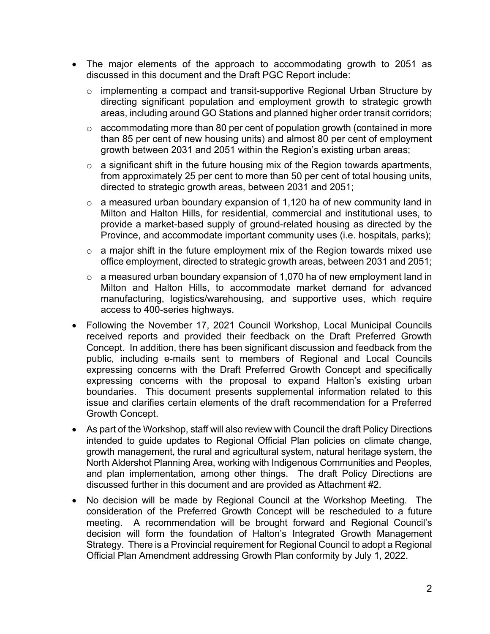- The major elements of the approach to accommodating growth to 2051 as discussed in this document and the Draft PGC Report include:
	- o implementing a compact and transit-supportive Regional Urban Structure by directing significant population and employment growth to strategic growth areas, including around GO Stations and planned higher order transit corridors;
	- o accommodating more than 80 per cent of population growth (contained in more than 85 per cent of new housing units) and almost 80 per cent of employment growth between 2031 and 2051 within the Region's existing urban areas;
	- $\circ$  a significant shift in the future housing mix of the Region towards apartments, from approximately 25 per cent to more than 50 per cent of total housing units, directed to strategic growth areas, between 2031 and 2051;
	- $\circ$  a measured urban boundary expansion of 1,120 ha of new community land in Milton and Halton Hills, for residential, commercial and institutional uses, to provide a market-based supply of ground-related housing as directed by the Province, and accommodate important community uses (i.e. hospitals, parks);
	- $\circ$  a major shift in the future employment mix of the Region towards mixed use office employment, directed to strategic growth areas, between 2031 and 2051;
	- $\circ$  a measured urban boundary expansion of 1,070 ha of new employment land in Milton and Halton Hills, to accommodate market demand for advanced manufacturing, logistics/warehousing, and supportive uses, which require access to 400-series highways.
- Following the November 17, 2021 Council Workshop, Local Municipal Councils received reports and provided their feedback on the Draft Preferred Growth Concept. In addition, there has been significant discussion and feedback from the public, including e-mails sent to members of Regional and Local Councils expressing concerns with the Draft Preferred Growth Concept and specifically expressing concerns with the proposal to expand Halton's existing urban boundaries. This document presents supplemental information related to this issue and clarifies certain elements of the draft recommendation for a Preferred Growth Concept.
- As part of the Workshop, staff will also review with Council the draft Policy Directions intended to guide updates to Regional Official Plan policies on climate change, growth management, the rural and agricultural system, natural heritage system, the North Aldershot Planning Area, working with Indigenous Communities and Peoples, and plan implementation, among other things. The draft Policy Directions are discussed further in this document and are provided as Attachment #2.
- No decision will be made by Regional Council at the Workshop Meeting. The consideration of the Preferred Growth Concept will be rescheduled to a future meeting. A recommendation will be brought forward and Regional Council's decision will form the foundation of Halton's Integrated Growth Management Strategy. There is a Provincial requirement for Regional Council to adopt a Regional Official Plan Amendment addressing Growth Plan conformity by July 1, 2022.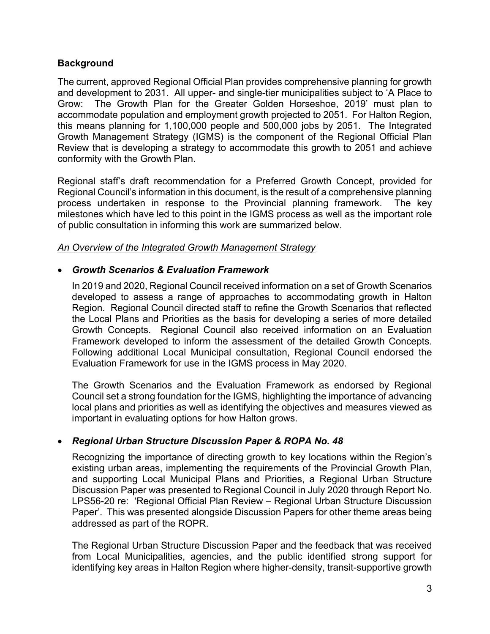## **Background**

The current, approved Regional Official Plan provides comprehensive planning for growth and development to 2031. All upper- and single-tier municipalities subject to 'A Place to Grow: The Growth Plan for the Greater Golden Horseshoe, 2019' must plan to accommodate population and employment growth projected to 2051. For Halton Region, this means planning for 1,100,000 people and 500,000 jobs by 2051. The Integrated Growth Management Strategy (IGMS) is the component of the Regional Official Plan Review that is developing a strategy to accommodate this growth to 2051 and achieve conformity with the Growth Plan.

Regional staff's draft recommendation for a Preferred Growth Concept, provided for Regional Council's information in this document, is the result of a comprehensive planning process undertaken in response to the Provincial planning framework. The key milestones which have led to this point in the IGMS process as well as the important role of public consultation in informing this work are summarized below.

## *An Overview of the Integrated Growth Management Strategy*

## *Growth Scenarios & Evaluation Framework*

In 2019 and 2020, Regional Council received information on a set of Growth Scenarios developed to assess a range of approaches to accommodating growth in Halton Region. Regional Council directed staff to refine the Growth Scenarios that reflected the Local Plans and Priorities as the basis for developing a series of more detailed Growth Concepts. Regional Council also received information on an Evaluation Framework developed to inform the assessment of the detailed Growth Concepts. Following additional Local Municipal consultation, Regional Council endorsed the Evaluation Framework for use in the IGMS process in May 2020.

The Growth Scenarios and the Evaluation Framework as endorsed by Regional Council set a strong foundation for the IGMS, highlighting the importance of advancing local plans and priorities as well as identifying the objectives and measures viewed as important in evaluating options for how Halton grows.

# *Regional Urban Structure Discussion Paper & ROPA No. 48*

Recognizing the importance of directing growth to key locations within the Region's existing urban areas, implementing the requirements of the Provincial Growth Plan, and supporting Local Municipal Plans and Priorities, a Regional Urban Structure Discussion Paper was presented to Regional Council in July 2020 through Report No. LPS56-20 re: 'Regional Official Plan Review – Regional Urban Structure Discussion Paper'. This was presented alongside Discussion Papers for other theme areas being addressed as part of the ROPR.

The Regional Urban Structure Discussion Paper and the feedback that was received from Local Municipalities, agencies, and the public identified strong support for identifying key areas in Halton Region where higher-density, transit-supportive growth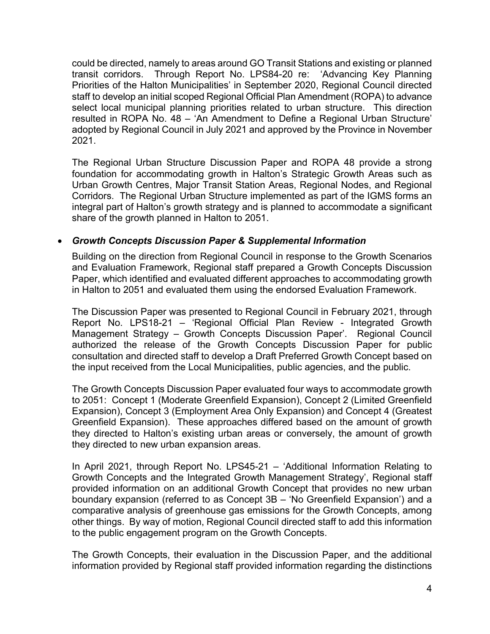could be directed, namely to areas around GO Transit Stations and existing or planned transit corridors. Through Report No. LPS84-20 re: 'Advancing Key Planning Priorities of the Halton Municipalities' in September 2020, Regional Council directed staff to develop an initial scoped Regional Official Plan Amendment (ROPA) to advance select local municipal planning priorities related to urban structure. This direction resulted in ROPA No. 48 – 'An Amendment to Define a Regional Urban Structure' adopted by Regional Council in July 2021 and approved by the Province in November 2021.

The Regional Urban Structure Discussion Paper and ROPA 48 provide a strong foundation for accommodating growth in Halton's Strategic Growth Areas such as Urban Growth Centres, Major Transit Station Areas, Regional Nodes, and Regional Corridors. The Regional Urban Structure implemented as part of the IGMS forms an integral part of Halton's growth strategy and is planned to accommodate a significant share of the growth planned in Halton to 2051.

## *Growth Concepts Discussion Paper & Supplemental Information*

Building on the direction from Regional Council in response to the Growth Scenarios and Evaluation Framework, Regional staff prepared a Growth Concepts Discussion Paper, which identified and evaluated different approaches to accommodating growth in Halton to 2051 and evaluated them using the endorsed Evaluation Framework.

The Discussion Paper was presented to Regional Council in February 2021, through Report No. LPS18-21 – 'Regional Official Plan Review - Integrated Growth Management Strategy – Growth Concepts Discussion Paper'. Regional Council authorized the release of the Growth Concepts Discussion Paper for public consultation and directed staff to develop a Draft Preferred Growth Concept based on the input received from the Local Municipalities, public agencies, and the public.

The Growth Concepts Discussion Paper evaluated four ways to accommodate growth to 2051: Concept 1 (Moderate Greenfield Expansion), Concept 2 (Limited Greenfield Expansion), Concept 3 (Employment Area Only Expansion) and Concept 4 (Greatest Greenfield Expansion). These approaches differed based on the amount of growth they directed to Halton's existing urban areas or conversely, the amount of growth they directed to new urban expansion areas.

In April 2021, through Report No. LPS45-21 – 'Additional Information Relating to Growth Concepts and the Integrated Growth Management Strategy', Regional staff provided information on an additional Growth Concept that provides no new urban boundary expansion (referred to as Concept 3B – 'No Greenfield Expansion') and a comparative analysis of greenhouse gas emissions for the Growth Concepts, among other things. By way of motion, Regional Council directed staff to add this information to the public engagement program on the Growth Concepts.

The Growth Concepts, their evaluation in the Discussion Paper, and the additional information provided by Regional staff provided information regarding the distinctions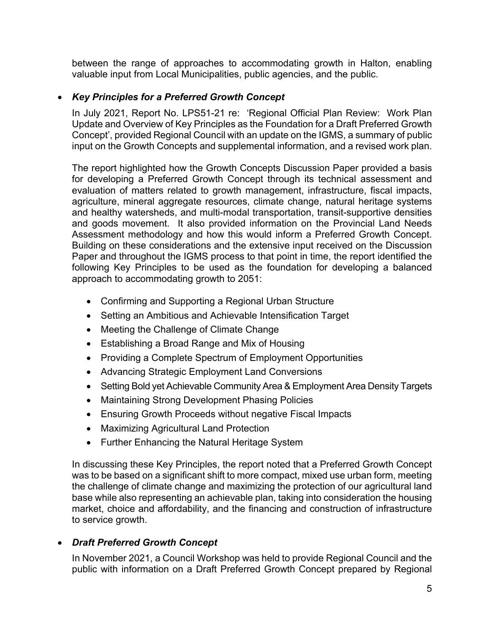between the range of approaches to accommodating growth in Halton, enabling valuable input from Local Municipalities, public agencies, and the public.

## *Key Principles for a Preferred Growth Concept*

In July 2021, Report No. LPS51-21 re: 'Regional Official Plan Review: Work Plan Update and Overview of Key Principles as the Foundation for a Draft Preferred Growth Concept', provided Regional Council with an update on the IGMS, a summary of public input on the Growth Concepts and supplemental information, and a revised work plan.

The report highlighted how the Growth Concepts Discussion Paper provided a basis for developing a Preferred Growth Concept through its technical assessment and evaluation of matters related to growth management, infrastructure, fiscal impacts, agriculture, mineral aggregate resources, climate change, natural heritage systems and healthy watersheds, and multi-modal transportation, transit-supportive densities and goods movement. It also provided information on the Provincial Land Needs Assessment methodology and how this would inform a Preferred Growth Concept. Building on these considerations and the extensive input received on the Discussion Paper and throughout the IGMS process to that point in time, the report identified the following Key Principles to be used as the foundation for developing a balanced approach to accommodating growth to 2051:

- Confirming and Supporting a Regional Urban Structure
- Setting an Ambitious and Achievable Intensification Target
- Meeting the Challenge of Climate Change
- Establishing a Broad Range and Mix of Housing
- Providing a Complete Spectrum of Employment Opportunities
- Advancing Strategic Employment Land Conversions
- Setting Bold yet Achievable Community Area & Employment Area Density Targets
- Maintaining Strong Development Phasing Policies
- Ensuring Growth Proceeds without negative Fiscal Impacts
- Maximizing Agricultural Land Protection
- Further Enhancing the Natural Heritage System

In discussing these Key Principles, the report noted that a Preferred Growth Concept was to be based on a significant shift to more compact, mixed use urban form, meeting the challenge of climate change and maximizing the protection of our agricultural land base while also representing an achievable plan, taking into consideration the housing market, choice and affordability, and the financing and construction of infrastructure to service growth.

#### *Draft Preferred Growth Concept*

In November 2021, a Council Workshop was held to provide Regional Council and the public with information on a Draft Preferred Growth Concept prepared by Regional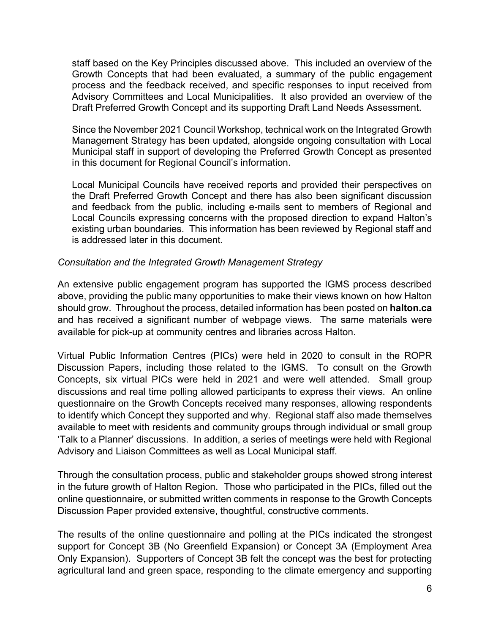staff based on the Key Principles discussed above. This included an overview of the Growth Concepts that had been evaluated, a summary of the public engagement process and the feedback received, and specific responses to input received from Advisory Committees and Local Municipalities. It also provided an overview of the Draft Preferred Growth Concept and its supporting Draft Land Needs Assessment.

Since the November 2021 Council Workshop, technical work on the Integrated Growth Management Strategy has been updated, alongside ongoing consultation with Local Municipal staff in support of developing the Preferred Growth Concept as presented in this document for Regional Council's information.

Local Municipal Councils have received reports and provided their perspectives on the Draft Preferred Growth Concept and there has also been significant discussion and feedback from the public, including e-mails sent to members of Regional and Local Councils expressing concerns with the proposed direction to expand Halton's existing urban boundaries. This information has been reviewed by Regional staff and is addressed later in this document.

#### *Consultation and the Integrated Growth Management Strategy*

An extensive public engagement program has supported the IGMS process described above, providing the public many opportunities to make their views known on how Halton should grow. Throughout the process, detailed information has been posted on **halton.ca** and has received a significant number of webpage views. The same materials were available for pick-up at community centres and libraries across Halton.

Virtual Public Information Centres (PICs) were held in 2020 to consult in the ROPR Discussion Papers, including those related to the IGMS. To consult on the Growth Concepts, six virtual PICs were held in 2021 and were well attended. Small group discussions and real time polling allowed participants to express their views. An online questionnaire on the Growth Concepts received many responses, allowing respondents to identify which Concept they supported and why. Regional staff also made themselves available to meet with residents and community groups through individual or small group 'Talk to a Planner' discussions. In addition, a series of meetings were held with Regional Advisory and Liaison Committees as well as Local Municipal staff.

Through the consultation process, public and stakeholder groups showed strong interest in the future growth of Halton Region. Those who participated in the PICs, filled out the online questionnaire, or submitted written comments in response to the Growth Concepts Discussion Paper provided extensive, thoughtful, constructive comments.

The results of the online questionnaire and polling at the PICs indicated the strongest support for Concept 3B (No Greenfield Expansion) or Concept 3A (Employment Area Only Expansion). Supporters of Concept 3B felt the concept was the best for protecting agricultural land and green space, responding to the climate emergency and supporting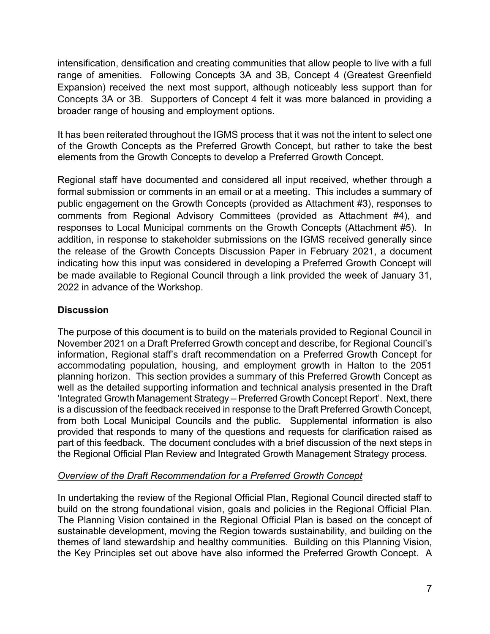intensification, densification and creating communities that allow people to live with a full range of amenities. Following Concepts 3A and 3B, Concept 4 (Greatest Greenfield Expansion) received the next most support, although noticeably less support than for Concepts 3A or 3B. Supporters of Concept 4 felt it was more balanced in providing a broader range of housing and employment options.

It has been reiterated throughout the IGMS process that it was not the intent to select one of the Growth Concepts as the Preferred Growth Concept, but rather to take the best elements from the Growth Concepts to develop a Preferred Growth Concept.

Regional staff have documented and considered all input received, whether through a formal submission or comments in an email or at a meeting. This includes a summary of public engagement on the Growth Concepts (provided as Attachment #3), responses to comments from Regional Advisory Committees (provided as Attachment #4), and responses to Local Municipal comments on the Growth Concepts (Attachment #5). In addition, in response to stakeholder submissions on the IGMS received generally since the release of the Growth Concepts Discussion Paper in February 2021, a document indicating how this input was considered in developing a Preferred Growth Concept will be made available to Regional Council through a link provided the week of January 31, 2022 in advance of the Workshop.

# **Discussion**

The purpose of this document is to build on the materials provided to Regional Council in November 2021 on a Draft Preferred Growth concept and describe, for Regional Council's information, Regional staff's draft recommendation on a Preferred Growth Concept for accommodating population, housing, and employment growth in Halton to the 2051 planning horizon. This section provides a summary of this Preferred Growth Concept as well as the detailed supporting information and technical analysis presented in the Draft 'Integrated Growth Management Strategy – Preferred Growth Concept Report'. Next, there is a discussion of the feedback received in response to the Draft Preferred Growth Concept, from both Local Municipal Councils and the public. Supplemental information is also provided that responds to many of the questions and requests for clarification raised as part of this feedback. The document concludes with a brief discussion of the next steps in the Regional Official Plan Review and Integrated Growth Management Strategy process.

# *Overview of the Draft Recommendation for a Preferred Growth Concept*

In undertaking the review of the Regional Official Plan, Regional Council directed staff to build on the strong foundational vision, goals and policies in the Regional Official Plan. The Planning Vision contained in the Regional Official Plan is based on the concept of sustainable development, moving the Region towards sustainability, and building on the themes of land stewardship and healthy communities. Building on this Planning Vision, the Key Principles set out above have also informed the Preferred Growth Concept. A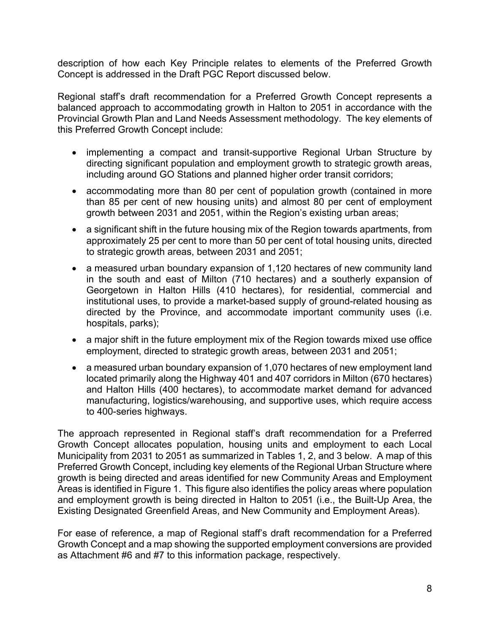description of how each Key Principle relates to elements of the Preferred Growth Concept is addressed in the Draft PGC Report discussed below.

Regional staff's draft recommendation for a Preferred Growth Concept represents a balanced approach to accommodating growth in Halton to 2051 in accordance with the Provincial Growth Plan and Land Needs Assessment methodology. The key elements of this Preferred Growth Concept include:

- implementing a compact and transit-supportive Regional Urban Structure by directing significant population and employment growth to strategic growth areas, including around GO Stations and planned higher order transit corridors;
- accommodating more than 80 per cent of population growth (contained in more than 85 per cent of new housing units) and almost 80 per cent of employment growth between 2031 and 2051, within the Region's existing urban areas;
- a significant shift in the future housing mix of the Region towards apartments, from approximately 25 per cent to more than 50 per cent of total housing units, directed to strategic growth areas, between 2031 and 2051;
- a measured urban boundary expansion of 1,120 hectares of new community land in the south and east of Milton (710 hectares) and a southerly expansion of Georgetown in Halton Hills (410 hectares), for residential, commercial and institutional uses, to provide a market-based supply of ground-related housing as directed by the Province, and accommodate important community uses (i.e. hospitals, parks);
- a major shift in the future employment mix of the Region towards mixed use office employment, directed to strategic growth areas, between 2031 and 2051;
- a measured urban boundary expansion of 1,070 hectares of new employment land located primarily along the Highway 401 and 407 corridors in Milton (670 hectares) and Halton Hills (400 hectares), to accommodate market demand for advanced manufacturing, logistics/warehousing, and supportive uses, which require access to 400-series highways.

The approach represented in Regional staff's draft recommendation for a Preferred Growth Concept allocates population, housing units and employment to each Local Municipality from 2031 to 2051 as summarized in Tables 1, 2, and 3 below. A map of this Preferred Growth Concept, including key elements of the Regional Urban Structure where growth is being directed and areas identified for new Community Areas and Employment Areas is identified in Figure 1. This figure also identifies the policy areas where population and employment growth is being directed in Halton to 2051 (i.e., the Built-Up Area, the Existing Designated Greenfield Areas, and New Community and Employment Areas).

For ease of reference, a map of Regional staff's draft recommendation for a Preferred Growth Concept and a map showing the supported employment conversions are provided as Attachment #6 and #7 to this information package, respectively.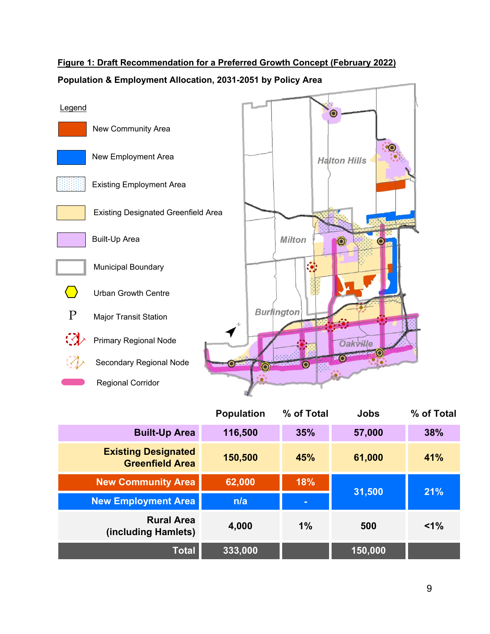# **Figure 1: Draft Recommendation for a Preferred Growth Concept (February 2022)**



## **Population & Employment Allocation, 2031-2051 by Policy Area**

|                                                      | <b>Population</b> | % of Total | <b>Jobs</b> | % of Total |
|------------------------------------------------------|-------------------|------------|-------------|------------|
| <b>Built-Up Area</b>                                 | 116,500           | 35%        | 57,000      | 38%        |
| <b>Existing Designated</b><br><b>Greenfield Area</b> | 150,500           | 45%        | 61,000      | 41%        |
| <b>New Community Area</b>                            | 62,000            | 18%        | 31,500      | 21%        |
| <b>New Employment Area</b>                           | n/a               | $\equiv$   |             |            |
| <b>Rural Area</b><br>(including Hamlets)             | 4,000             | $1\%$      | 500         | $1\%$      |
| <b>Total</b>                                         | 333,000           |            | 150,000     |            |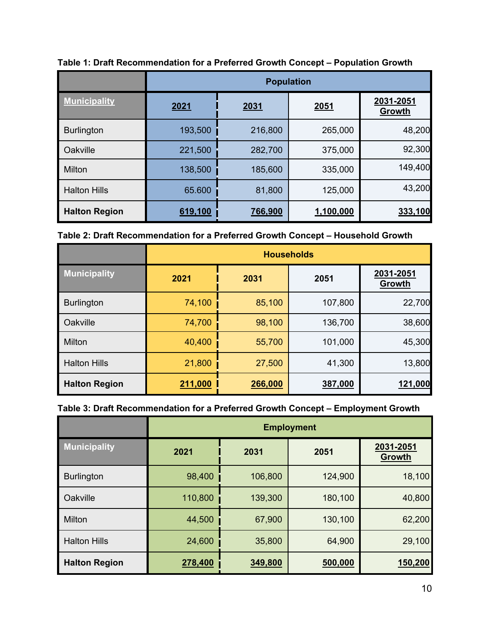|                      | <b>Population</b> |         |           |                     |  |  |
|----------------------|-------------------|---------|-----------|---------------------|--|--|
| <b>Municipality</b>  | 2021              | 2031    | 2051      | 2031-2051<br>Growth |  |  |
| <b>Burlington</b>    | 193,500           | 216,800 | 265,000   | 48,200              |  |  |
| Oakville             | 221,500           | 282,700 | 375,000   | 92,300              |  |  |
| Milton               | 138,500           | 185,600 | 335,000   | 149,400             |  |  |
| <b>Halton Hills</b>  | 65.600            | 81,800  | 125,000   | 43,200              |  |  |
| <b>Halton Region</b> | 619,100           | 766,900 | 1,100,000 | 333,100             |  |  |

**Table 1: Draft Recommendation for a Preferred Growth Concept – Population Growth**

|  |  | Table 2: Draft Recommendation for a Preferred Growth Concept - Household Growth |  |  |  |
|--|--|---------------------------------------------------------------------------------|--|--|--|
|  |  |                                                                                 |  |  |  |

|                      | <b>Households</b> |         |         |                     |  |
|----------------------|-------------------|---------|---------|---------------------|--|
| <b>Municipality</b>  | 2021<br>2031      |         | 2051    | 2031-2051<br>Growth |  |
| <b>Burlington</b>    | 74,100            | 85,100  | 107,800 | 22,700              |  |
| Oakville             | 74,700            | 98,100  | 136,700 | 38,600              |  |
| Milton               | 40,400            | 55,700  | 101,000 | 45,300              |  |
| <b>Halton Hills</b>  | 21,800            | 27,500  | 41,300  | 13,800              |  |
| <b>Halton Region</b> | 211,000           | 266,000 | 387,000 | 121,000             |  |

# **Table 3: Draft Recommendation for a Preferred Growth Concept – Employment Growth**

|                      | <b>Employment</b> |              |         |                            |  |
|----------------------|-------------------|--------------|---------|----------------------------|--|
| <b>Municipality</b>  | 2021              | 2031<br>2051 |         | 2031-2051<br><b>Growth</b> |  |
| <b>Burlington</b>    | 98,400            | 106,800      | 124,900 | 18,100                     |  |
| Oakville             | 110,800           | 139,300      | 180,100 | 40,800                     |  |
| Milton               | 44,500            | 67,900       | 130,100 | 62,200                     |  |
| <b>Halton Hills</b>  | 24,600            | 35,800       | 64,900  | 29,100                     |  |
| <b>Halton Region</b> | 278,400           | 349,800      | 500,000 | 150,200                    |  |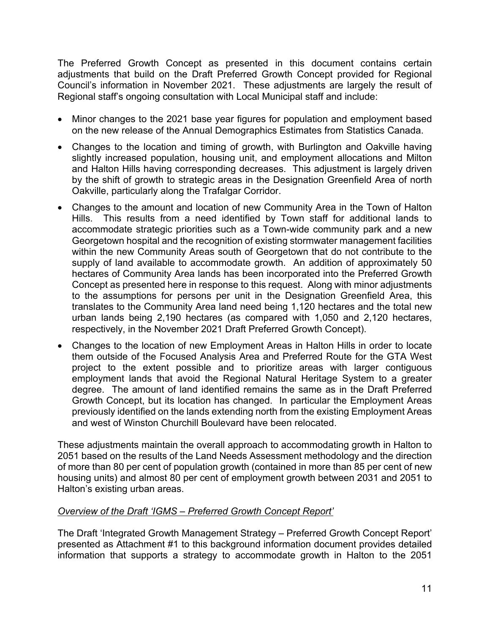The Preferred Growth Concept as presented in this document contains certain adjustments that build on the Draft Preferred Growth Concept provided for Regional Council's information in November 2021. These adjustments are largely the result of Regional staff's ongoing consultation with Local Municipal staff and include:

- Minor changes to the 2021 base year figures for population and employment based on the new release of the Annual Demographics Estimates from Statistics Canada.
- Changes to the location and timing of growth, with Burlington and Oakville having slightly increased population, housing unit, and employment allocations and Milton and Halton Hills having corresponding decreases. This adjustment is largely driven by the shift of growth to strategic areas in the Designation Greenfield Area of north Oakville, particularly along the Trafalgar Corridor.
- Changes to the amount and location of new Community Area in the Town of Halton Hills. This results from a need identified by Town staff for additional lands to accommodate strategic priorities such as a Town-wide community park and a new Georgetown hospital and the recognition of existing stormwater management facilities within the new Community Areas south of Georgetown that do not contribute to the supply of land available to accommodate growth. An addition of approximately 50 hectares of Community Area lands has been incorporated into the Preferred Growth Concept as presented here in response to this request. Along with minor adjustments to the assumptions for persons per unit in the Designation Greenfield Area, this translates to the Community Area land need being 1,120 hectares and the total new urban lands being 2,190 hectares (as compared with 1,050 and 2,120 hectares, respectively, in the November 2021 Draft Preferred Growth Concept).
- Changes to the location of new Employment Areas in Halton Hills in order to locate them outside of the Focused Analysis Area and Preferred Route for the GTA West project to the extent possible and to prioritize areas with larger contiguous employment lands that avoid the Regional Natural Heritage System to a greater degree. The amount of land identified remains the same as in the Draft Preferred Growth Concept, but its location has changed. In particular the Employment Areas previously identified on the lands extending north from the existing Employment Areas and west of Winston Churchill Boulevard have been relocated.

These adjustments maintain the overall approach to accommodating growth in Halton to 2051 based on the results of the Land Needs Assessment methodology and the direction of more than 80 per cent of population growth (contained in more than 85 per cent of new housing units) and almost 80 per cent of employment growth between 2031 and 2051 to Halton's existing urban areas.

# *Overview of the Draft 'IGMS – Preferred Growth Concept Report'*

The Draft 'Integrated Growth Management Strategy – Preferred Growth Concept Report' presented as Attachment #1 to this background information document provides detailed information that supports a strategy to accommodate growth in Halton to the 2051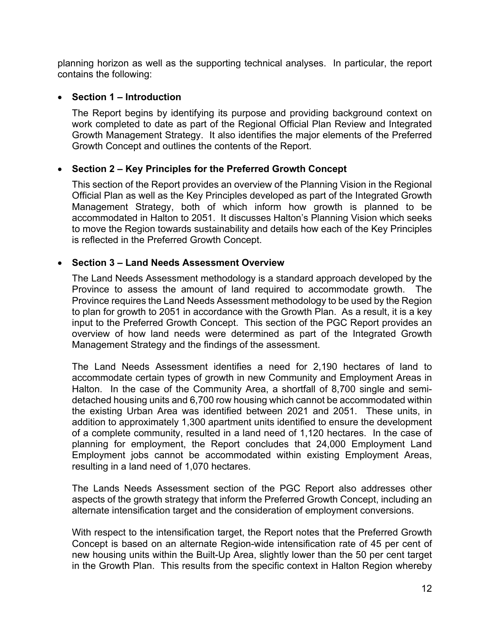planning horizon as well as the supporting technical analyses. In particular, the report contains the following:

#### **Section 1 – Introduction**

The Report begins by identifying its purpose and providing background context on work completed to date as part of the Regional Official Plan Review and Integrated Growth Management Strategy. It also identifies the major elements of the Preferred Growth Concept and outlines the contents of the Report.

## **Section 2 – Key Principles for the Preferred Growth Concept**

This section of the Report provides an overview of the Planning Vision in the Regional Official Plan as well as the Key Principles developed as part of the Integrated Growth Management Strategy, both of which inform how growth is planned to be accommodated in Halton to 2051. It discusses Halton's Planning Vision which seeks to move the Region towards sustainability and details how each of the Key Principles is reflected in the Preferred Growth Concept.

## **Section 3 – Land Needs Assessment Overview**

The Land Needs Assessment methodology is a standard approach developed by the Province to assess the amount of land required to accommodate growth. The Province requires the Land Needs Assessment methodology to be used by the Region to plan for growth to 2051 in accordance with the Growth Plan. As a result, it is a key input to the Preferred Growth Concept. This section of the PGC Report provides an overview of how land needs were determined as part of the Integrated Growth Management Strategy and the findings of the assessment.

The Land Needs Assessment identifies a need for 2,190 hectares of land to accommodate certain types of growth in new Community and Employment Areas in Halton. In the case of the Community Area, a shortfall of 8,700 single and semidetached housing units and 6,700 row housing which cannot be accommodated within the existing Urban Area was identified between 2021 and 2051. These units, in addition to approximately 1,300 apartment units identified to ensure the development of a complete community, resulted in a land need of 1,120 hectares. In the case of planning for employment, the Report concludes that 24,000 Employment Land Employment jobs cannot be accommodated within existing Employment Areas, resulting in a land need of 1,070 hectares.

The Lands Needs Assessment section of the PGC Report also addresses other aspects of the growth strategy that inform the Preferred Growth Concept, including an alternate intensification target and the consideration of employment conversions.

With respect to the intensification target, the Report notes that the Preferred Growth Concept is based on an alternate Region-wide intensification rate of 45 per cent of new housing units within the Built-Up Area, slightly lower than the 50 per cent target in the Growth Plan. This results from the specific context in Halton Region whereby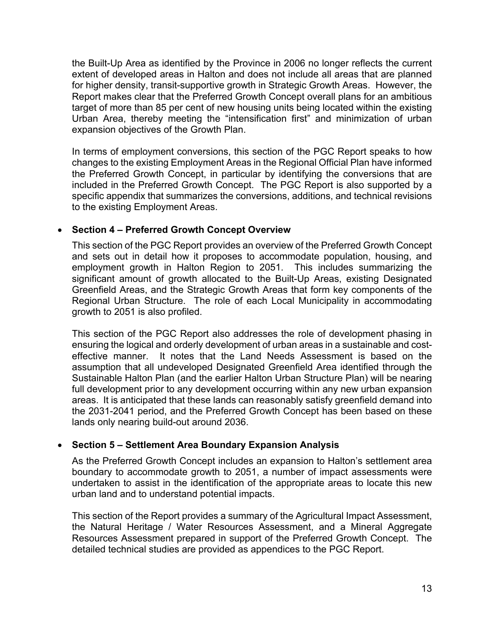the Built-Up Area as identified by the Province in 2006 no longer reflects the current extent of developed areas in Halton and does not include all areas that are planned for higher density, transit-supportive growth in Strategic Growth Areas. However, the Report makes clear that the Preferred Growth Concept overall plans for an ambitious target of more than 85 per cent of new housing units being located within the existing Urban Area, thereby meeting the "intensification first" and minimization of urban expansion objectives of the Growth Plan.

In terms of employment conversions, this section of the PGC Report speaks to how changes to the existing Employment Areas in the Regional Official Plan have informed the Preferred Growth Concept, in particular by identifying the conversions that are included in the Preferred Growth Concept. The PGC Report is also supported by a specific appendix that summarizes the conversions, additions, and technical revisions to the existing Employment Areas.

## **Section 4 – Preferred Growth Concept Overview**

This section of the PGC Report provides an overview of the Preferred Growth Concept and sets out in detail how it proposes to accommodate population, housing, and employment growth in Halton Region to 2051. This includes summarizing the significant amount of growth allocated to the Built-Up Areas, existing Designated Greenfield Areas, and the Strategic Growth Areas that form key components of the Regional Urban Structure. The role of each Local Municipality in accommodating growth to 2051 is also profiled.

This section of the PGC Report also addresses the role of development phasing in ensuring the logical and orderly development of urban areas in a sustainable and costeffective manner. It notes that the Land Needs Assessment is based on the assumption that all undeveloped Designated Greenfield Area identified through the Sustainable Halton Plan (and the earlier Halton Urban Structure Plan) will be nearing full development prior to any development occurring within any new urban expansion areas. It is anticipated that these lands can reasonably satisfy greenfield demand into the 2031-2041 period, and the Preferred Growth Concept has been based on these lands only nearing build-out around 2036.

# **Section 5 – Settlement Area Boundary Expansion Analysis**

As the Preferred Growth Concept includes an expansion to Halton's settlement area boundary to accommodate growth to 2051, a number of impact assessments were undertaken to assist in the identification of the appropriate areas to locate this new urban land and to understand potential impacts.

This section of the Report provides a summary of the Agricultural Impact Assessment, the Natural Heritage / Water Resources Assessment, and a Mineral Aggregate Resources Assessment prepared in support of the Preferred Growth Concept. The detailed technical studies are provided as appendices to the PGC Report.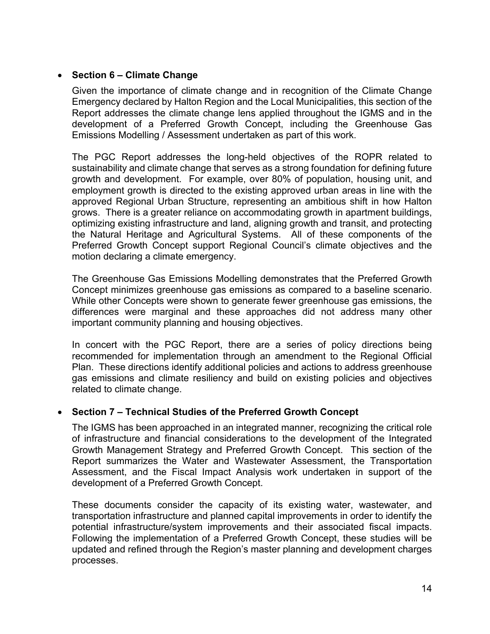## **Section 6 – Climate Change**

Given the importance of climate change and in recognition of the Climate Change Emergency declared by Halton Region and the Local Municipalities, this section of the Report addresses the climate change lens applied throughout the IGMS and in the development of a Preferred Growth Concept, including the Greenhouse Gas Emissions Modelling / Assessment undertaken as part of this work.

The PGC Report addresses the long-held objectives of the ROPR related to sustainability and climate change that serves as a strong foundation for defining future growth and development. For example, over 80% of population, housing unit, and employment growth is directed to the existing approved urban areas in line with the approved Regional Urban Structure, representing an ambitious shift in how Halton grows. There is a greater reliance on accommodating growth in apartment buildings, optimizing existing infrastructure and land, aligning growth and transit, and protecting the Natural Heritage and Agricultural Systems. All of these components of the Preferred Growth Concept support Regional Council's climate objectives and the motion declaring a climate emergency.

The Greenhouse Gas Emissions Modelling demonstrates that the Preferred Growth Concept minimizes greenhouse gas emissions as compared to a baseline scenario. While other Concepts were shown to generate fewer greenhouse gas emissions, the differences were marginal and these approaches did not address many other important community planning and housing objectives.

In concert with the PGC Report, there are a series of policy directions being recommended for implementation through an amendment to the Regional Official Plan. These directions identify additional policies and actions to address greenhouse gas emissions and climate resiliency and build on existing policies and objectives related to climate change.

#### **Section 7 – Technical Studies of the Preferred Growth Concept**

The IGMS has been approached in an integrated manner, recognizing the critical role of infrastructure and financial considerations to the development of the Integrated Growth Management Strategy and Preferred Growth Concept. This section of the Report summarizes the Water and Wastewater Assessment, the Transportation Assessment, and the Fiscal Impact Analysis work undertaken in support of the development of a Preferred Growth Concept.

These documents consider the capacity of its existing water, wastewater, and transportation infrastructure and planned capital improvements in order to identify the potential infrastructure/system improvements and their associated fiscal impacts. Following the implementation of a Preferred Growth Concept, these studies will be updated and refined through the Region's master planning and development charges processes.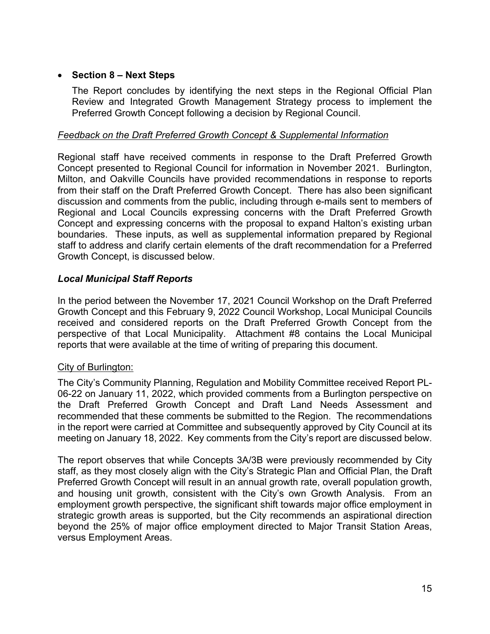## **Section 8 – Next Steps**

The Report concludes by identifying the next steps in the Regional Official Plan Review and Integrated Growth Management Strategy process to implement the Preferred Growth Concept following a decision by Regional Council.

#### *Feedback on the Draft Preferred Growth Concept & Supplemental Information*

Regional staff have received comments in response to the Draft Preferred Growth Concept presented to Regional Council for information in November 2021. Burlington, Milton, and Oakville Councils have provided recommendations in response to reports from their staff on the Draft Preferred Growth Concept. There has also been significant discussion and comments from the public, including through e-mails sent to members of Regional and Local Councils expressing concerns with the Draft Preferred Growth Concept and expressing concerns with the proposal to expand Halton's existing urban boundaries. These inputs, as well as supplemental information prepared by Regional staff to address and clarify certain elements of the draft recommendation for a Preferred Growth Concept, is discussed below.

## *Local Municipal Staff Reports*

In the period between the November 17, 2021 Council Workshop on the Draft Preferred Growth Concept and this February 9, 2022 Council Workshop, Local Municipal Councils received and considered reports on the Draft Preferred Growth Concept from the perspective of that Local Municipality. Attachment #8 contains the Local Municipal reports that were available at the time of writing of preparing this document.

#### City of Burlington:

The City's Community Planning, Regulation and Mobility Committee received Report PL-06-22 on January 11, 2022, which provided comments from a Burlington perspective on the Draft Preferred Growth Concept and Draft Land Needs Assessment and recommended that these comments be submitted to the Region. The recommendations in the report were carried at Committee and subsequently approved by City Council at its meeting on January 18, 2022. Key comments from the City's report are discussed below.

The report observes that while Concepts 3A/3B were previously recommended by City staff, as they most closely align with the City's Strategic Plan and Official Plan, the Draft Preferred Growth Concept will result in an annual growth rate, overall population growth, and housing unit growth, consistent with the City's own Growth Analysis. From an employment growth perspective, the significant shift towards major office employment in strategic growth areas is supported, but the City recommends an aspirational direction beyond the 25% of major office employment directed to Major Transit Station Areas, versus Employment Areas.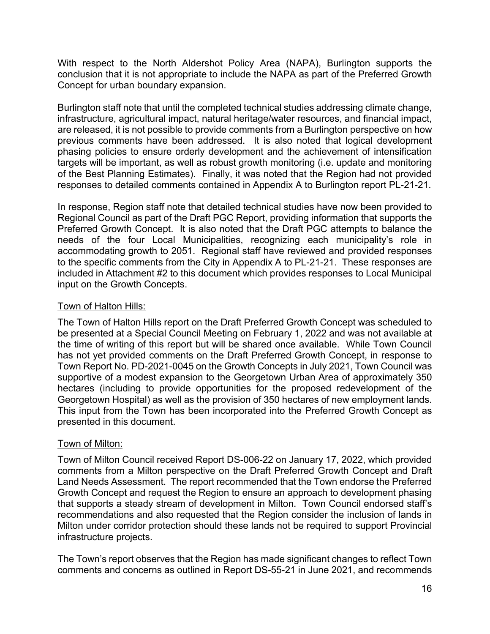With respect to the North Aldershot Policy Area (NAPA), Burlington supports the conclusion that it is not appropriate to include the NAPA as part of the Preferred Growth Concept for urban boundary expansion.

Burlington staff note that until the completed technical studies addressing climate change, infrastructure, agricultural impact, natural heritage/water resources, and financial impact, are released, it is not possible to provide comments from a Burlington perspective on how previous comments have been addressed. It is also noted that logical development phasing policies to ensure orderly development and the achievement of intensification targets will be important, as well as robust growth monitoring (i.e. update and monitoring of the Best Planning Estimates). Finally, it was noted that the Region had not provided responses to detailed comments contained in Appendix A to Burlington report PL-21-21.

In response, Region staff note that detailed technical studies have now been provided to Regional Council as part of the Draft PGC Report, providing information that supports the Preferred Growth Concept. It is also noted that the Draft PGC attempts to balance the needs of the four Local Municipalities, recognizing each municipality's role in accommodating growth to 2051. Regional staff have reviewed and provided responses to the specific comments from the City in Appendix A to PL-21-21. These responses are included in Attachment #2 to this document which provides responses to Local Municipal input on the Growth Concepts.

# Town of Halton Hills:

The Town of Halton Hills report on the Draft Preferred Growth Concept was scheduled to be presented at a Special Council Meeting on February 1, 2022 and was not available at the time of writing of this report but will be shared once available. While Town Council has not yet provided comments on the Draft Preferred Growth Concept, in response to Town Report No. PD-2021-0045 on the Growth Concepts in July 2021, Town Council was supportive of a modest expansion to the Georgetown Urban Area of approximately 350 hectares (including to provide opportunities for the proposed redevelopment of the Georgetown Hospital) as well as the provision of 350 hectares of new employment lands. This input from the Town has been incorporated into the Preferred Growth Concept as presented in this document.

# Town of Milton:

Town of Milton Council received Report DS-006-22 on January 17, 2022, which provided comments from a Milton perspective on the Draft Preferred Growth Concept and Draft Land Needs Assessment. The report recommended that the Town endorse the Preferred Growth Concept and request the Region to ensure an approach to development phasing that supports a steady stream of development in Milton. Town Council endorsed staff's recommendations and also requested that the Region consider the inclusion of lands in Milton under corridor protection should these lands not be required to support Provincial infrastructure projects.

The Town's report observes that the Region has made significant changes to reflect Town comments and concerns as outlined in Report DS-55-21 in June 2021, and recommends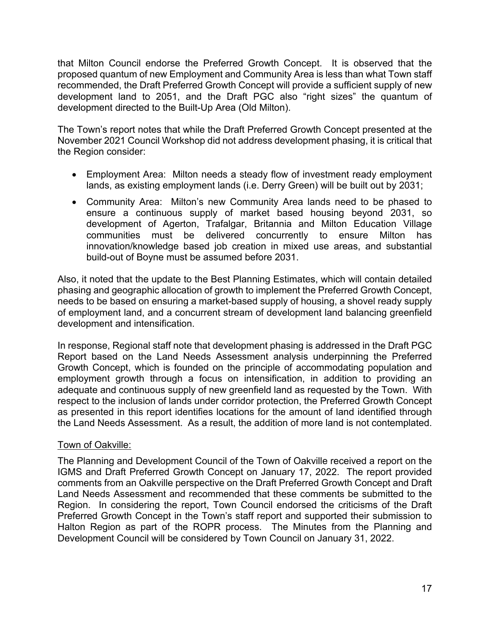that Milton Council endorse the Preferred Growth Concept. It is observed that the proposed quantum of new Employment and Community Area is less than what Town staff recommended, the Draft Preferred Growth Concept will provide a sufficient supply of new development land to 2051, and the Draft PGC also "right sizes" the quantum of development directed to the Built-Up Area (Old Milton).

The Town's report notes that while the Draft Preferred Growth Concept presented at the November 2021 Council Workshop did not address development phasing, it is critical that the Region consider:

- Employment Area: Milton needs a steady flow of investment ready employment lands, as existing employment lands (i.e. Derry Green) will be built out by 2031;
- Community Area: Milton's new Community Area lands need to be phased to ensure a continuous supply of market based housing beyond 2031, so development of Agerton, Trafalgar, Britannia and Milton Education Village communities must be delivered concurrently to ensure Milton has innovation/knowledge based job creation in mixed use areas, and substantial build-out of Boyne must be assumed before 2031.

Also, it noted that the update to the Best Planning Estimates, which will contain detailed phasing and geographic allocation of growth to implement the Preferred Growth Concept, needs to be based on ensuring a market-based supply of housing, a shovel ready supply of employment land, and a concurrent stream of development land balancing greenfield development and intensification.

In response, Regional staff note that development phasing is addressed in the Draft PGC Report based on the Land Needs Assessment analysis underpinning the Preferred Growth Concept, which is founded on the principle of accommodating population and employment growth through a focus on intensification, in addition to providing an adequate and continuous supply of new greenfield land as requested by the Town. With respect to the inclusion of lands under corridor protection, the Preferred Growth Concept as presented in this report identifies locations for the amount of land identified through the Land Needs Assessment. As a result, the addition of more land is not contemplated.

# Town of Oakville:

The Planning and Development Council of the Town of Oakville received a report on the IGMS and Draft Preferred Growth Concept on January 17, 2022. The report provided comments from an Oakville perspective on the Draft Preferred Growth Concept and Draft Land Needs Assessment and recommended that these comments be submitted to the Region. In considering the report, Town Council endorsed the criticisms of the Draft Preferred Growth Concept in the Town's staff report and supported their submission to Halton Region as part of the ROPR process. The Minutes from the Planning and Development Council will be considered by Town Council on January 31, 2022.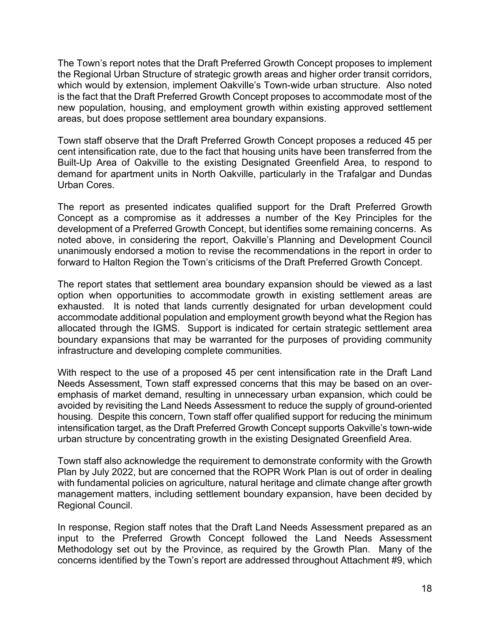The Town's report notes that the Draft Preferred Growth Concept proposes to implement the Regional Urban Structure of strategic growth areas and higher order transit corridors, which would by extension, implement Oakville's Town-wide urban structure. Also noted is the fact that the Draft Preferred Growth Concept proposes to accommodate most of the new population, housing, and employment growth within existing approved settlement areas, but does propose settlement area boundary expansions.

Town staff observe that the Draft Preferred Growth Concept proposes a reduced 45 per cent intensification rate, due to the fact that housing units have been transferred from the Built-Up Area of Oakville to the existing Designated Greenfield Area, to respond to demand for apartment units in North Oakville, particularly in the Trafalgar and Dundas Urban Cores.

The report as presented indicates qualified support for the Draft Preferred Growth Concept as a compromise as it addresses a number of the Key Principles for the development of a Preferred Growth Concept, but identifies some remaining concerns. As noted above, in considering the report, Oakville's Planning and Development Council unanimously endorsed a motion to revise the recommendations in the report in order to forward to Halton Region the Town's criticisms of the Draft Preferred Growth Concept.

The report states that settlement area boundary expansion should be viewed as a last option when opportunities to accommodate growth in existing settlement areas are exhausted. It is noted that lands currently designated for urban development could accommodate additional population and employment growth beyond what the Region has allocated through the IGMS. Support is indicated for certain strategic settlement area boundary expansions that may be warranted for the purposes of providing community infrastructure and developing complete communities.

With respect to the use of a proposed 45 per cent intensification rate in the Draft Land Needs Assessment, Town staff expressed concerns that this may be based on an overemphasis of market demand, resulting in unnecessary urban expansion, which could be avoided by revisiting the Land Needs Assessment to reduce the supply of ground-oriented housing. Despite this concern, Town staff offer qualified support for reducing the minimum intensification target, as the Draft Preferred Growth Concept supports Oakville's town-wide urban structure by concentrating growth in the existing Designated Greenfield Area.

Town staff also acknowledge the requirement to demonstrate conformity with the Growth Plan by July 2022, but are concerned that the ROPR Work Plan is out of order in dealing with fundamental policies on agriculture, natural heritage and climate change after growth management matters, including settlement boundary expansion, have been decided by Regional Council.

In response, Region staff notes that the Draft Land Needs Assessment prepared as an input to the Preferred Growth Concept followed the Land Needs Assessment Methodology set out by the Province, as required by the Growth Plan. Many of the concerns identified by the Town's report are addressed throughout Attachment #9, which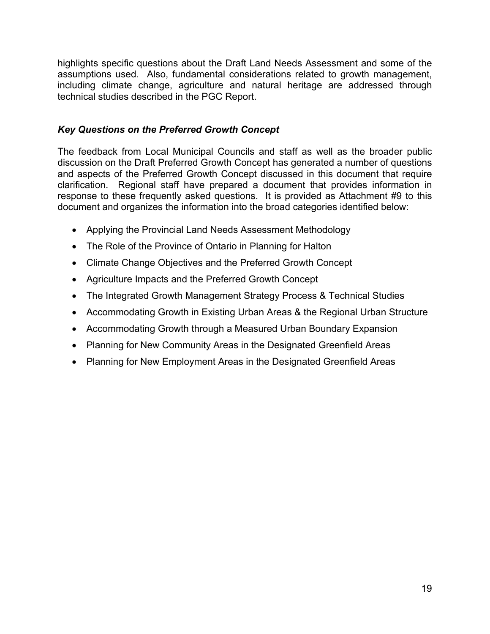highlights specific questions about the Draft Land Needs Assessment and some of the assumptions used. Also, fundamental considerations related to growth management, including climate change, agriculture and natural heritage are addressed through technical studies described in the PGC Report.

# *Key Questions on the Preferred Growth Concept*

The feedback from Local Municipal Councils and staff as well as the broader public discussion on the Draft Preferred Growth Concept has generated a number of questions and aspects of the Preferred Growth Concept discussed in this document that require clarification. Regional staff have prepared a document that provides information in response to these frequently asked questions. It is provided as Attachment #9 to this document and organizes the information into the broad categories identified below:

- Applying the Provincial Land Needs Assessment Methodology
- The Role of the Province of Ontario in Planning for Halton
- Climate Change Objectives and the Preferred Growth Concept
- Agriculture Impacts and the Preferred Growth Concept
- The Integrated Growth Management Strategy Process & Technical Studies
- Accommodating Growth in Existing Urban Areas & the Regional Urban Structure
- Accommodating Growth through a Measured Urban Boundary Expansion
- Planning for New Community Areas in the Designated Greenfield Areas
- Planning for New Employment Areas in the Designated Greenfield Areas